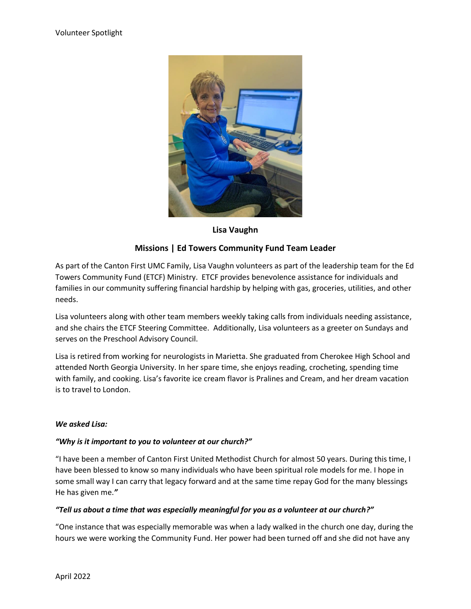

## **Lisa Vaughn**

# **Missions | Ed Towers Community Fund Team Leader**

As part of the Canton First UMC Family, Lisa Vaughn volunteers as part of the leadership team for the Ed Towers Community Fund (ETCF) Ministry. ETCF provides benevolence assistance for individuals and families in our community suffering financial hardship by helping with gas, groceries, utilities, and other needs.

Lisa volunteers along with other team members weekly taking calls from individuals needing assistance, and she chairs the ETCF Steering Committee. Additionally, Lisa volunteers as a greeter on Sundays and serves on the Preschool Advisory Council.

Lisa is retired from working for neurologists in Marietta. She graduated from Cherokee High School and attended North Georgia University. In her spare time, she enjoys reading, crocheting, spending time with family, and cooking. Lisa's favorite ice cream flavor is Pralines and Cream, and her dream vacation is to travel to London.

#### *We asked Lisa:*

#### *"Why is it important to you to volunteer at our church?"*

"I have been a member of Canton First United Methodist Church for almost 50 years. During this time, I have been blessed to know so many individuals who have been spiritual role models for me. I hope in some small way I can carry that legacy forward and at the same time repay God for the many blessings He has given me.*"*

#### *"Tell us about a time that was especially meaningful for you as a volunteer at our church?"*

"One instance that was especially memorable was when a lady walked in the church one day, during the hours we were working the Community Fund. Her power had been turned off and she did not have any